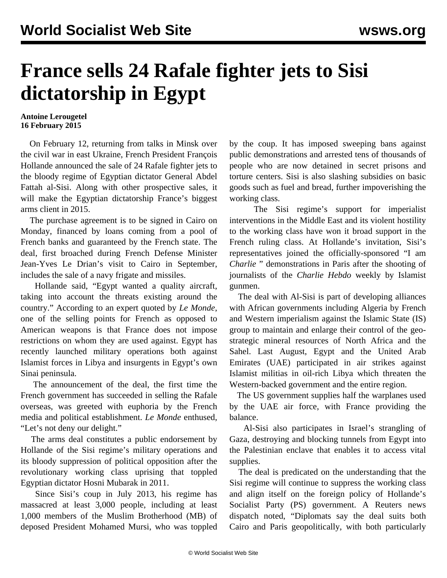## **France sells 24 Rafale fighter jets to Sisi dictatorship in Egypt**

## **Antoine Lerougetel 16 February 2015**

 On February 12, returning from talks in Minsk over the civil war in east Ukraine, French President François Hollande announced the sale of 24 Rafale fighter jets to the bloody regime of Egyptian dictator General Abdel Fattah al-Sisi. Along with other prospective sales, it will make the Egyptian dictatorship France's biggest arms client in 2015.

 The purchase agreement is to be signed in Cairo on Monday, financed by loans coming from a pool of French banks and guaranteed by the French state. The deal, first broached during French Defense Minister Jean-Yves Le Drian's visit to Cairo in September, includes the sale of a navy frigate and missiles.

 Hollande said, "Egypt wanted a quality aircraft, taking into account the threats existing around the country." According to an expert quoted by *Le Monde*, one of the selling points for French as opposed to American weapons is that France does not impose restrictions on whom they are used against. Egypt has recently launched military operations both against Islamist forces in Libya and insurgents in Egypt's own Sinai peninsula.

 The announcement of the deal, the first time the French government has succeeded in selling the Rafale overseas, was greeted with euphoria by the French media and political establishment. *Le Monde* enthused, "Let's not deny our delight."

 The arms deal constitutes a public endorsement by Hollande of the Sisi regime's military operations and its bloody suppression of political opposition after the revolutionary working class uprising that toppled Egyptian dictator Hosni Mubarak in 2011.

 Since Sisi's coup in July 2013, his regime has massacred at least 3,000 people, including at least 1,000 members of the Muslim Brotherhood (MB) of deposed President Mohamed Mursi, who was toppled by the coup. It has imposed sweeping bans against public demonstrations and arrested tens of thousands of people who are now detained in secret prisons and torture centers. Sisi is also slashing subsidies on basic goods such as fuel and bread, further impoverishing the working class.

 The Sisi regime's support for imperialist interventions in the Middle East and its violent hostility to the working class have won it broad support in the French ruling class. At Hollande's invitation, Sisi's representatives joined the officially-sponsored "I am *Charlie* " demonstrations in Paris after the shooting of journalists of the *Charlie Hebdo* weekly by Islamist gunmen.

 The deal with Al-Sisi is part of developing alliances with African governments including Algeria by French and Western imperialism against the Islamic State (IS) group to maintain and enlarge their control of the geostrategic mineral resources of North Africa and the Sahel. Last August, Egypt and the United Arab Emirates (UAE) participated in air strikes against Islamist militias in oil-rich Libya which threaten the Western-backed government and the entire region.

 The US government supplies half the warplanes used by the UAE air force, with France providing the balance.

 Al-Sisi also participates in Israel's strangling of Gaza, destroying and blocking tunnels from Egypt into the Palestinian enclave that enables it to access vital supplies.

 The deal is predicated on the understanding that the Sisi regime will continue to suppress the working class and align itself on the foreign policy of Hollande's Socialist Party (PS) government. A Reuters news dispatch noted, "Diplomats say the deal suits both Cairo and Paris geopolitically, with both particularly